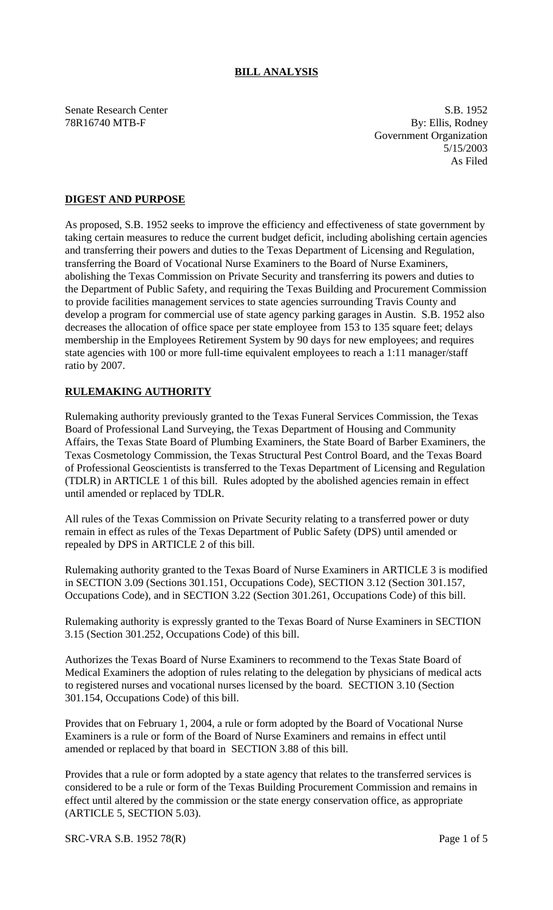# **BILL ANALYSIS**

Senate Research Center S.B. 1952 78R16740 MTB-F By: Ellis, Rodney Government Organization 5/15/2003 As Filed

# **DIGEST AND PURPOSE**

As proposed, S.B. 1952 seeks to improve the efficiency and effectiveness of state government by taking certain measures to reduce the current budget deficit, including abolishing certain agencies and transferring their powers and duties to the Texas Department of Licensing and Regulation, transferring the Board of Vocational Nurse Examiners to the Board of Nurse Examiners, abolishing the Texas Commission on Private Security and transferring its powers and duties to the Department of Public Safety, and requiring the Texas Building and Procurement Commission to provide facilities management services to state agencies surrounding Travis County and develop a program for commercial use of state agency parking garages in Austin. S.B. 1952 also decreases the allocation of office space per state employee from 153 to 135 square feet; delays membership in the Employees Retirement System by 90 days for new employees; and requires state agencies with 100 or more full-time equivalent employees to reach a 1:11 manager/staff ratio by 2007.

### **RULEMAKING AUTHORITY**

Rulemaking authority previously granted to the Texas Funeral Services Commission, the Texas Board of Professional Land Surveying, the Texas Department of Housing and Community Affairs, the Texas State Board of Plumbing Examiners, the State Board of Barber Examiners, the Texas Cosmetology Commission, the Texas Structural Pest Control Board, and the Texas Board of Professional Geoscientists is transferred to the Texas Department of Licensing and Regulation (TDLR) in ARTICLE 1 of this bill. Rules adopted by the abolished agencies remain in effect until amended or replaced by TDLR.

All rules of the Texas Commission on Private Security relating to a transferred power or duty remain in effect as rules of the Texas Department of Public Safety (DPS) until amended or repealed by DPS in ARTICLE 2 of this bill.

Rulemaking authority granted to the Texas Board of Nurse Examiners in ARTICLE 3 is modified in SECTION 3.09 (Sections 301.151, Occupations Code), SECTION 3.12 (Section 301.157, Occupations Code), and in SECTION 3.22 (Section 301.261, Occupations Code) of this bill.

Rulemaking authority is expressly granted to the Texas Board of Nurse Examiners in SECTION 3.15 (Section 301.252, Occupations Code) of this bill.

Authorizes the Texas Board of Nurse Examiners to recommend to the Texas State Board of Medical Examiners the adoption of rules relating to the delegation by physicians of medical acts to registered nurses and vocational nurses licensed by the board. SECTION 3.10 (Section 301.154, Occupations Code) of this bill.

Provides that on February 1, 2004, a rule or form adopted by the Board of Vocational Nurse Examiners is a rule or form of the Board of Nurse Examiners and remains in effect until amended or replaced by that board in SECTION 3.88 of this bill.

Provides that a rule or form adopted by a state agency that relates to the transferred services is considered to be a rule or form of the Texas Building Procurement Commission and remains in effect until altered by the commission or the state energy conservation office, as appropriate (ARTICLE 5, SECTION 5.03).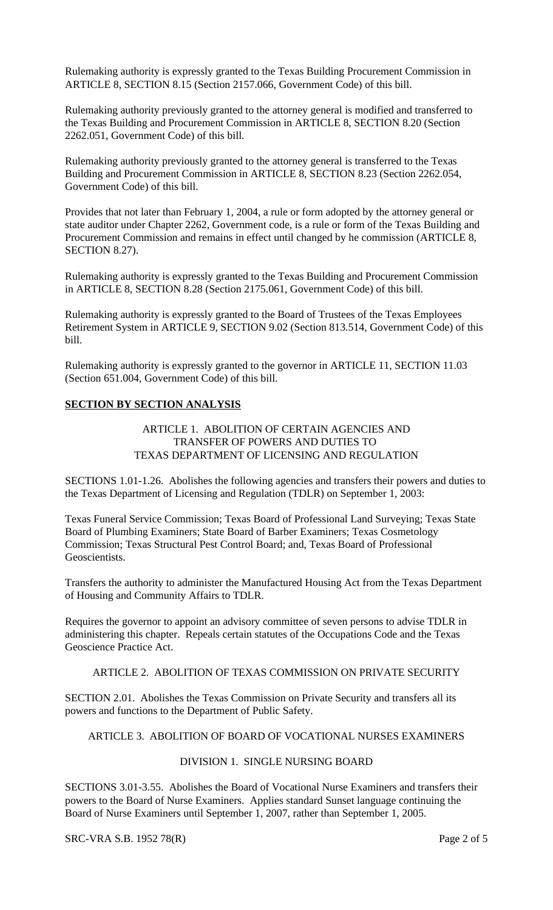Rulemaking authority is expressly granted to the Texas Building Procurement Commission in ARTICLE 8, SECTION 8.15 (Section 2157.066, Government Code) of this bill.

Rulemaking authority previously granted to the attorney general is modified and transferred to the Texas Building and Procurement Commission in ARTICLE 8, SECTION 8.20 (Section 2262.051, Government Code) of this bill.

Rulemaking authority previously granted to the attorney general is transferred to the Texas Building and Procurement Commission in ARTICLE 8, SECTION 8.23 (Section 2262.054, Government Code) of this bill.

Provides that not later than February 1, 2004, a rule or form adopted by the attorney general or state auditor under Chapter 2262, Government code, is a rule or form of the Texas Building and Procurement Commission and remains in effect until changed by he commission (ARTICLE 8, SECTION 8.27).

Rulemaking authority is expressly granted to the Texas Building and Procurement Commission in ARTICLE 8, SECTION 8.28 (Section 2175.061, Government Code) of this bill.

Rulemaking authority is expressly granted to the Board of Trustees of the Texas Employees Retirement System in ARTICLE 9, SECTION 9.02 (Section 813.514, Government Code) of this bill.

Rulemaking authority is expressly granted to the governor in ARTICLE 11, SECTION 11.03 (Section 651.004, Government Code) of this bill.

### **SECTION BY SECTION ANALYSIS**

ARTICLE 1. ABOLITION OF CERTAIN AGENCIES AND TRANSFER OF POWERS AND DUTIES TO TEXAS DEPARTMENT OF LICENSING AND REGULATION

SECTIONS 1.01-1.26. Abolishes the following agencies and transfers their powers and duties to the Texas Department of Licensing and Regulation (TDLR) on September 1, 2003:

Texas Funeral Service Commission; Texas Board of Professional Land Surveying; Texas State Board of Plumbing Examiners; State Board of Barber Examiners; Texas Cosmetology Commission; Texas Structural Pest Control Board; and, Texas Board of Professional Geoscientists.

Transfers the authority to administer the Manufactured Housing Act from the Texas Department of Housing and Community Affairs to TDLR.

Requires the governor to appoint an advisory committee of seven persons to advise TDLR in administering this chapter. Repeals certain statutes of the Occupations Code and the Texas Geoscience Practice Act.

### ARTICLE 2. ABOLITION OF TEXAS COMMISSION ON PRIVATE SECURITY

SECTION 2.01. Abolishes the Texas Commission on Private Security and transfers all its powers and functions to the Department of Public Safety.

## ARTICLE 3. ABOLITION OF BOARD OF VOCATIONAL NURSES EXAMINERS

## DIVISION 1. SINGLE NURSING BOARD

SECTIONS 3.01-3.55. Abolishes the Board of Vocational Nurse Examiners and transfers their powers to the Board of Nurse Examiners. Applies standard Sunset language continuing the Board of Nurse Examiners until September 1, 2007, rather than September 1, 2005.

SRC-VRA S.B. 1952 78(R) Page 2 of 5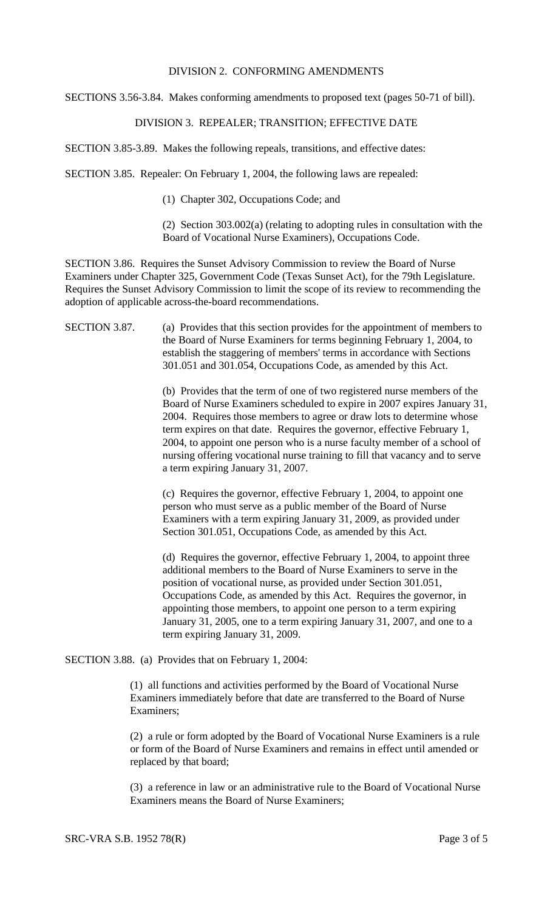### DIVISION 2. CONFORMING AMENDMENTS

SECTIONS 3.56-3.84. Makes conforming amendments to proposed text (pages 50-71 of bill).

## DIVISION 3. REPEALER; TRANSITION; EFFECTIVE DATE

SECTION 3.85-3.89. Makes the following repeals, transitions, and effective dates:

SECTION 3.85. Repealer: On February 1, 2004, the following laws are repealed:

(1) Chapter 302, Occupations Code; and

(2) Section 303.002(a) (relating to adopting rules in consultation with the Board of Vocational Nurse Examiners), Occupations Code.

SECTION 3.86. Requires the Sunset Advisory Commission to review the Board of Nurse Examiners under Chapter 325, Government Code (Texas Sunset Act), for the 79th Legislature. Requires the Sunset Advisory Commission to limit the scope of its review to recommending the adoption of applicable across-the-board recommendations.

SECTION 3.87. (a) Provides that this section provides for the appointment of members to the Board of Nurse Examiners for terms beginning February 1, 2004, to establish the staggering of members' terms in accordance with Sections 301.051 and 301.054, Occupations Code, as amended by this Act.

> (b) Provides that the term of one of two registered nurse members of the Board of Nurse Examiners scheduled to expire in 2007 expires January 31, 2004. Requires those members to agree or draw lots to determine whose term expires on that date. Requires the governor, effective February 1, 2004, to appoint one person who is a nurse faculty member of a school of nursing offering vocational nurse training to fill that vacancy and to serve a term expiring January 31, 2007.

(c) Requires the governor, effective February 1, 2004, to appoint one person who must serve as a public member of the Board of Nurse Examiners with a term expiring January 31, 2009, as provided under Section 301.051, Occupations Code, as amended by this Act.

(d) Requires the governor, effective February 1, 2004, to appoint three additional members to the Board of Nurse Examiners to serve in the position of vocational nurse, as provided under Section 301.051, Occupations Code, as amended by this Act. Requires the governor, in appointing those members, to appoint one person to a term expiring January 31, 2005, one to a term expiring January 31, 2007, and one to a term expiring January 31, 2009.

SECTION 3.88. (a) Provides that on February 1, 2004:

(1) all functions and activities performed by the Board of Vocational Nurse Examiners immediately before that date are transferred to the Board of Nurse Examiners;

(2) a rule or form adopted by the Board of Vocational Nurse Examiners is a rule or form of the Board of Nurse Examiners and remains in effect until amended or replaced by that board;

(3) a reference in law or an administrative rule to the Board of Vocational Nurse Examiners means the Board of Nurse Examiners;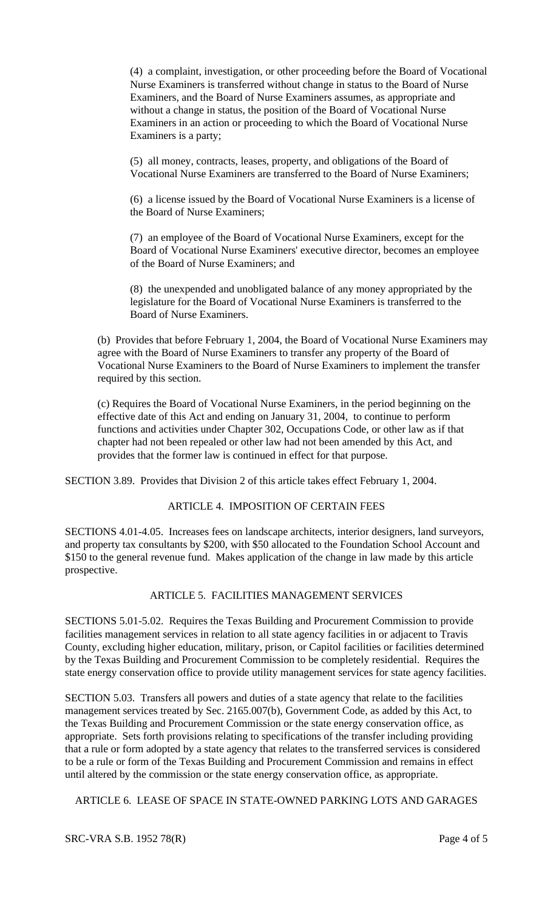(4) a complaint, investigation, or other proceeding before the Board of Vocational Nurse Examiners is transferred without change in status to the Board of Nurse Examiners, and the Board of Nurse Examiners assumes, as appropriate and without a change in status, the position of the Board of Vocational Nurse Examiners in an action or proceeding to which the Board of Vocational Nurse Examiners is a party;

(5) all money, contracts, leases, property, and obligations of the Board of Vocational Nurse Examiners are transferred to the Board of Nurse Examiners;

(6) a license issued by the Board of Vocational Nurse Examiners is a license of the Board of Nurse Examiners;

(7) an employee of the Board of Vocational Nurse Examiners, except for the Board of Vocational Nurse Examiners' executive director, becomes an employee of the Board of Nurse Examiners; and

(8) the unexpended and unobligated balance of any money appropriated by the legislature for the Board of Vocational Nurse Examiners is transferred to the Board of Nurse Examiners.

(b) Provides that before February 1, 2004, the Board of Vocational Nurse Examiners may agree with the Board of Nurse Examiners to transfer any property of the Board of Vocational Nurse Examiners to the Board of Nurse Examiners to implement the transfer required by this section.

(c) Requires the Board of Vocational Nurse Examiners, in the period beginning on the effective date of this Act and ending on January 31, 2004, to continue to perform functions and activities under Chapter 302, Occupations Code, or other law as if that chapter had not been repealed or other law had not been amended by this Act, and provides that the former law is continued in effect for that purpose.

SECTION 3.89. Provides that Division 2 of this article takes effect February 1, 2004.

#### ARTICLE 4. IMPOSITION OF CERTAIN FEES

SECTIONS 4.01-4.05. Increases fees on landscape architects, interior designers, land surveyors, and property tax consultants by \$200, with \$50 allocated to the Foundation School Account and \$150 to the general revenue fund. Makes application of the change in law made by this article prospective.

# ARTICLE 5. FACILITIES MANAGEMENT SERVICES

SECTIONS 5.01-5.02. Requires the Texas Building and Procurement Commission to provide facilities management services in relation to all state agency facilities in or adjacent to Travis County, excluding higher education, military, prison, or Capitol facilities or facilities determined by the Texas Building and Procurement Commission to be completely residential. Requires the state energy conservation office to provide utility management services for state agency facilities.

SECTION 5.03. Transfers all powers and duties of a state agency that relate to the facilities management services treated by Sec. 2165.007(b), Government Code, as added by this Act, to the Texas Building and Procurement Commission or the state energy conservation office, as appropriate. Sets forth provisions relating to specifications of the transfer including providing that a rule or form adopted by a state agency that relates to the transferred services is considered to be a rule or form of the Texas Building and Procurement Commission and remains in effect until altered by the commission or the state energy conservation office, as appropriate.

ARTICLE 6. LEASE OF SPACE IN STATE-OWNED PARKING LOTS AND GARAGES